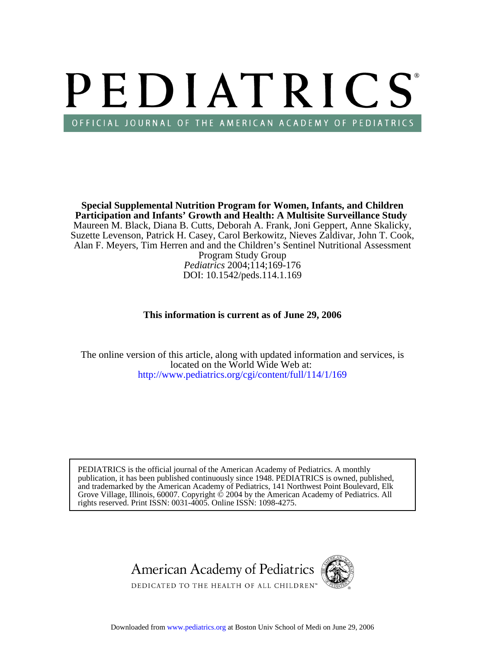# PEDIATRICS OFFICIAL JOURNAL OF THE AMERICAN ACADEMY OF PEDIATRICS

Program Study Group Alan F. Meyers, Tim Herren and and the Children's Sentinel Nutritional Assessment Suzette Levenson, Patrick H. Casey, Carol Berkowitz, Nieves Zaldivar, John T. Cook, Maureen M. Black, Diana B. Cutts, Deborah A. Frank, Joni Geppert, Anne Skalicky, **Participation and Infants' Growth and Health: A Multisite Surveillance Study Special Supplemental Nutrition Program for Women, Infants, and Children**

DOI: 10.1542/peds.114.1.169 *Pediatrics* 2004;114;169-176

## **This information is current as of June 29, 2006**

<http://www.pediatrics.org/cgi/content/full/114/1/169> located on the World Wide Web at: The online version of this article, along with updated information and services, is

rights reserved. Print ISSN: 0031-4005. Online ISSN: 1098-4275. Grove Village, Illinois, 60007. Copyright  $\ddot{\odot}$  2004 by the American Academy of Pediatrics. All and trademarked by the American Academy of Pediatrics, 141 Northwest Point Boulevard, Elk publication, it has been published continuously since 1948. PEDIATRICS is owned, published, PEDIATRICS is the official journal of the American Academy of Pediatrics. A monthly

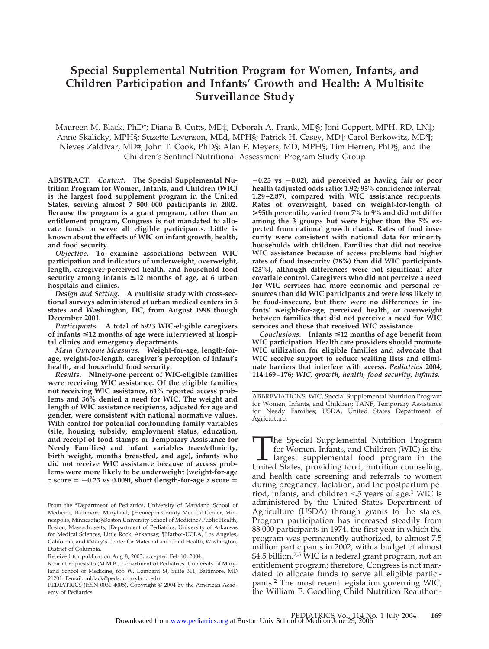# **Special Supplemental Nutrition Program for Women, Infants, and Children Participation and Infants' Growth and Health: A Multisite Surveillance Study**

Maureen M. Black, PhD\*; Diana B. Cutts, MD‡; Deborah A. Frank, MD§; Joni Geppert, MPH, RD, LN‡; Anne Skalicky, MPH§; Suzette Levenson, MEd, MPH§; Patrick H. Casey, MD||; Carol Berkowitz, MD¶; Nieves Zaldivar, MD#; John T. Cook, PhD§; Alan F. Meyers, MD, MPH§; Tim Herren, PhD§, and the Children's Sentinel Nutritional Assessment Program Study Group

**ABSTRACT.** *Context.* **The Special Supplemental Nutrition Program for Women, Infants, and Children (WIC) is the largest food supplement program in the United States, serving almost 7 500 000 participants in 2002. Because the program is a grant program, rather than an entitlement program, Congress is not mandated to allocate funds to serve all eligible participants. Little is known about the effects of WIC on infant growth, health, and food security.**

*Objective.* **To examine associations between WIC participation and indicators of underweight, overweight, length, caregiver-perceived health, and household food security among infants** <**12 months of age, at 6 urban hospitals and clinics.**

*Design and Setting.* **A multisite study with cross-sectional surveys administered at urban medical centers in 5 states and Washington, DC, from August 1998 though December 2001.**

*Participants.* **A total of 5923 WIC-eligible caregivers of infants** <**12 months of age were interviewed at hospital clinics and emergency departments.**

*Main Outcome Measures.* **Weight-for-age, length-forage, weight-for-length, caregiver's perception of infant's health, and household food security.**

*Results.* **Ninety-one percent of WIC-eligible families were receiving WIC assistance. Of the eligible families not receiving WIC assistance, 64% reported access problems and 36% denied a need for WIC. The weight and length of WIC assistance recipients, adjusted for age and gender, were consistent with national normative values. With control for potential confounding family variables (site, housing subsidy, employment status, education, and receipt of food stamps or Temporary Assistance for Needy Families) and infant variables (race/ethnicity, birth weight, months breastfed, and age), infants who did not receive WIC assistance because of access problems were more likely to be underweight (weight-for-age** *z* **score** -**0.23 vs 0.009), short (length-for-age** *z* **score**

From the \*Department of Pediatrics, University of Maryland School of Medicine, Baltimore, Maryland; ‡Hennepin County Medical Center, Minneapolis, Minnesota; §Boston University School of Medicine/Public Health, Boston, Massachusetts; ||Department of Pediatrics, University of Arkansas for Medical Sciences, Little Rock, Arkansas; ¶Harbor-UCLA, Los Angeles, California; and #Mary's Center for Maternal and Child Health, Washington, District of Columbia.

Received for publication Aug 8, 2003; accepted Feb 10, 2004.

Reprint requests to (M.M.B.) Department of Pediatrics, University of Maryland School of Medicine, 655 W. Lombard St, Suite 311, Baltimore, MD 21201. E-mail: mblack@peds.umaryland.edu

PEDIATRICS (ISSN 0031 4005). Copyright © 2004 by the American Academy of Pediatrics.

-**0.23 vs** -**0.02), and perceived as having fair or poor health (adjusted odds ratio: 1.92; 95% confidence interval: 1.29–2.87), compared with WIC assistance recipients. Rates of overweight, based on weight-for-length of >95th percentile, varied from 7% to 9% and did not differ among the 3 groups but were higher than the 5% expected from national growth charts. Rates of food insecurity were consistent with national data for minority households with children. Families that did not receive WIC assistance because of access problems had higher rates of food insecurity (28%) than did WIC participants (23%), although differences were not significant after covariate control. Caregivers who did not perceive a need for WIC services had more economic and personal resources than did WIC participants and were less likely to be food-insecure, but there were no differences in infants' weight-for-age, perceived health, or overweight between families that did not perceive a need for WIC services and those that received WIC assistance.**

*Conclusions.* **Infants** <**12 months of age benefit from WIC participation. Health care providers should promote WIC utilization for eligible families and advocate that WIC receive support to reduce waiting lists and eliminate barriers that interfere with access.** *Pediatrics* **2004; 114:169–176;** *WIC, growth, health, food security, infants.*

ABBREVIATIONS. WIC, Special Supplemental Nutrition Program for Women, Infants, and Children; TANF, Temporary Assistance for Needy Families; USDA, United States Department of Agriculture.

The Special Supplemental Nutrition Program<br>for Women, Infants, and Children (WIC) is the<br>largest supplemental food program in the<br>United States, providing food, nutrition counseling, for Women, Infants, and Children (WIC) is the largest supplemental food program in the United States, providing food, nutrition counseling, and health care screening and referrals to women during pregnancy, lactation, and the postpartum period, infants, and children  $<$  5 years of age.<sup>1</sup> WIC is administered by the United States Department of Agriculture (USDA) through grants to the states. Program participation has increased steadily from 88 000 participants in 1974, the first year in which the program was permanently authorized, to almost 7.5 million participants in 2002, with a budget of almost \$4.5 billion.<sup>2,3</sup> WIC is a federal grant program, not an entitlement program; therefore, Congress is not mandated to allocate funds to serve all eligible participants.2 The most recent legislation governing WIC, the William F. Goodling Child Nutrition Reauthori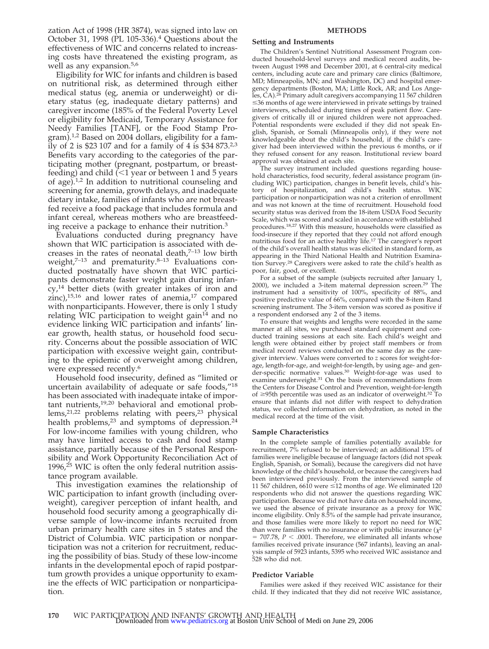zation Act of 1998 (HR 3874), was signed into law on October 31, 1998 (PL 105-336).4 Questions about the effectiveness of WIC and concerns related to increasing costs have threatened the existing program, as well as any expansion.<sup>5,6</sup>

Eligibility for WIC for infants and children is based on nutritional risk, as determined through either medical status (eg, anemia or underweight) or dietary status (eg, inadequate dietary patterns) and caregiver income (185% of the Federal Poverty Level or eligibility for Medicaid, Temporary Assistance for Needy Families [TANF], or the Food Stamp Program).<sup>1,2</sup> Based on 2004 dollars, eligibility for a family of 2 is \$23 107 and for a family of 4 is \$34 873.<sup>2,3</sup> Benefits vary according to the categories of the participating mother (pregnant, postpartum, or breastfeeding) and child  $($  1 year or between 1 and 5 years of age).<sup>1,2</sup> In addition to nutritional counseling and screening for anemia, growth delays, and inadequate dietary intake, families of infants who are not breastfed receive a food package that includes formula and infant cereal, whereas mothers who are breastfeeding receive a package to enhance their nutrition.3

Evaluations conducted during pregnancy have shown that WIC participation is associated with decreases in the rates of neonatal death, $7-13$  low birth weight,<sup>7-13</sup> and prematurity.<sup>8-13</sup> Evaluations conducted postnatally have shown that WIC participants demonstrate faster weight gain during infan- $\text{cv}$ ,<sup>14</sup> better diets (with greater intakes of iron and zinc), $15,16$  and lower rates of anemia, $17$  compared with nonparticipants. However, there is only 1 study relating  $\hat{W}$ IC participation to weight gain<sup>14</sup> and no evidence linking WIC participation and infants' linear growth, health status, or household food security. Concerns about the possible association of WIC participation with excessive weight gain, contributing to the epidemic of overweight among children, were expressed recently.6

Household food insecurity, defined as "limited or uncertain availability of adequate or safe foods,"<sup>18</sup> has been associated with inadequate intake of important nutrients,<sup>19,20</sup> behavioral and emotional prob $lems, <sup>21,22</sup>$  problems relating with peers, $<sup>23</sup>$  physical</sup> health problems,<sup>23</sup> and symptoms of depression.<sup>24</sup> For low-income families with young children, who may have limited access to cash and food stamp assistance, partially because of the Personal Responsibility and Work Opportunity Reconciliation Act of  $1996<sup>25</sup>$  WIC is often the only federal nutrition assistance program available.

This investigation examines the relationship of WIC participation to infant growth (including overweight), caregiver perception of infant health, and household food security among a geographically diverse sample of low-income infants recruited from urban primary health care sites in 5 states and the District of Columbia. WIC participation or nonparticipation was not a criterion for recruitment, reducing the possibility of bias. Study of these low-income infants in the developmental epoch of rapid postpartum growth provides a unique opportunity to examine the effects of WIC participation or nonparticipation.

## **METHODS**

#### **Setting and Instruments**

The Children's Sentinel Nutritional Assessment Program conducted household-level surveys and medical record audits, between August 1998 and December 2001, at 6 central-city medical centers, including acute care and primary care clinics (Baltimore, MD; Minneapolis, MN; and Washington, DC) and hospital emergency departments (Boston, MA; Little Rock, AR; and Los Angeles, CA).<sup>26</sup> Primary adult caregivers accompanying 11 567 children  $\leq$ 36 months of age were interviewed in private settings by trained interviewers, scheduled during times of peak patient flow. Caregivers of critically ill or injured children were not approached. Potential respondents were excluded if they did not speak English, Spanish, or Somali (Minneapolis only), if they were not knowledgeable about the child's household, if the child's caregiver had been interviewed within the previous 6 months, or if they refused consent for any reason. Institutional review board approval was obtained at each site.

The survey instrument included questions regarding household characteristics, food security, federal assistance program (including WIC) participation, changes in benefit levels, child's history of hospitalization, and child's health status. WIC participation or nonparticipation was not a criterion of enrollment and was not known at the time of recruitment. Household food security status was derived from the 18-item USDA Food Security Scale, which was scored and scaled in accordance with established procedures.18,27 With this measure, households were classified as food-insecure if they reported that they could not afford enough nutritious food for an active healthy life.<sup>17</sup> The caregiver's report of the child's overall health status was elicited in standard form, as appearing in the Third National Health and Nutrition Examination Survey.28 Caregivers were asked to rate the child's health as poor, fair, good, or excellent.

For a subset of the sample (subjects recruited after January 1, 2000), we included a 3-item maternal depression screen.<sup>29</sup> The instrument had a sensitivity of 100%, specificity of 88%, and positive predictive value of 66%, compared with the 8-item Rand screening instrument. The 3-item version was scored as positive if a respondent endorsed any 2 of the 3 items.

To ensure that weights and lengths were recorded in the same manner at all sites, we purchased standard equipment and conducted training sessions at each site. Each child's weight and length were obtained either by project staff members or from medical record reviews conducted on the same day as the caregiver interview. Values were converted to *z* scores for weight-forage, length-for-age, and weight-for-length, by using age- and gender-specific normative values.<sup>30</sup> Weight-for-age was used to examine underweight.<sup>31</sup> On the basis of recommendations from the Centers for Disease Control and Prevention, weight-for-length of  $\geq$ 95th percentile was used as an indicator of overweight.<sup>32</sup> To ensure that infants did not differ with respect to dehydration status, we collected information on dehydration, as noted in the medical record at the time of the visit.

### **Sample Characteristics**

In the complete sample of families potentially available for recruitment, 7% refused to be interviewed; an additional 15% of families were ineligible because of language factors (did not speak English, Spanish, or Somali), because the caregivers did not have knowledge of the child's household, or because the caregivers had been interviewed previously. From the interviewed sample of 11 567 children, 6610 were  $\leq$ 12 months of age. We eliminated 120 respondents who did not answer the questions regarding WIC participation. Because we did not have data on household income, we used the absence of private insurance as a proxy for WIC income eligibility. Only 8.5% of the sample had private insurance, and those families were more likely to report no need for WIC than were families with no insurance or with public insurance  $(\chi^2)$  $= 707.78$ ,  $P < .0001$ . Therefore, we eliminated all infants whose families received private insurance (567 infants), leaving an analysis sample of 5923 infants, 5395 who received WIC assistance and 528 who did not.

### **Predictor Variable**

Families were asked if they received WIC assistance for their child. If they indicated that they did not receive WIC assistance,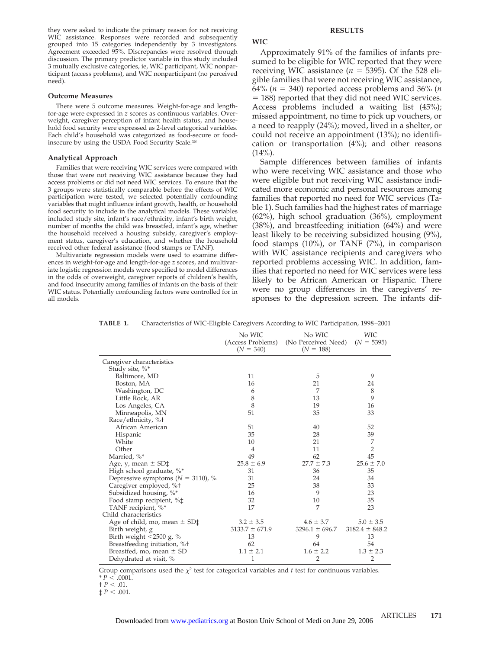they were asked to indicate the primary reason for not receiving WIC assistance. Responses were recorded and subsequently grouped into 15 categories independently by 3 investigators. Agreement exceeded 95%. Discrepancies were resolved through discussion. The primary predictor variable in this study included 3 mutually exclusive categories, ie, WIC participant, WIC nonparticipant (access problems), and WIC nonparticipant (no perceived need).

#### **Outcome Measures**

There were 5 outcome measures. Weight-for-age and lengthfor-age were expressed in *z* scores as continuous variables. Overweight, caregiver perception of infant health status, and household food security were expressed as 2-level categorical variables. Each child's household was categorized as food-secure or foodinsecure by using the USDA Food Security Scale.18

#### **Analytical Approach**

Families that were receiving WIC services were compared with those that were not receiving WIC assistance because they had access problems or did not need WIC services. To ensure that the 3 groups were statistically comparable before the effects of WIC participation were tested, we selected potentially confounding variables that might influence infant growth, health, or household food security to include in the analytical models. These variables included study site, infant's race/ethnicity, infant's birth weight, number of months the child was breastfed, infant's age, whether the household received a housing subsidy, caregiver's employment status, caregiver's education, and whether the household received other federal assistance (food stamps or TANF).

Multivariate regression models were used to examine differences in weight-for-age and length-for-age *z* scores, and multivariate logistic regression models were specified to model differences in the odds of overweight, caregiver reports of children's health, and food insecurity among families of infants on the basis of their WIC status. Potentially confounding factors were controlled for in all models.

#### **RESULTS**

## **WIC**

Approximately 91% of the families of infants presumed to be eligible for WIC reported that they were receiving WIC assistance ( $n = 5395$ ). Of the 528 eligible families that were not receiving WIC assistance,  $64\%$  ( $n = 340$ ) reported access problems and  $36\%$  ( $n$ - 188) reported that they did not need WIC services. Access problems included a waiting list (45%); missed appointment, no time to pick up vouchers, or a need to reapply (24%); moved, lived in a shelter, or could not receive an appointment (13%); no identification or transportation (4%); and other reasons  $(14\%)$ .

Sample differences between families of infants who were receiving WIC assistance and those who were eligible but not receiving WIC assistance indicated more economic and personal resources among families that reported no need for WIC services (Table 1). Such families had the highest rates of marriage (62%), high school graduation (36%), employment (38%), and breastfeeding initiation (64%) and were least likely to be receiving subsidized housing (9%), food stamps (10%), or TANF (7%), in comparison with WIC assistance recipients and caregivers who reported problems accessing WIC. In addition, families that reported no need for WIC services were less likely to be African American or Hispanic. There were no group differences in the caregivers' responses to the depression screen. The infants dif-

**TABLE 1.** Characteristics of WIC-Eligible Caregivers According to WIC Participation, 1998–2001

|                                            | No WIC             | No WIC              | <b>WIC</b>         |
|--------------------------------------------|--------------------|---------------------|--------------------|
|                                            | (Access Problems)  | (No Perceived Need) | $(N = 5395)$       |
|                                            | $(N = 340)$        | $(N = 188)$         |                    |
| Caregiver characteristics                  |                    |                     |                    |
| Study site, $\%^*$                         |                    |                     |                    |
| Baltimore, MD                              | 11                 | 5                   | 9                  |
| Boston, MA                                 | 16                 | 21                  | 24                 |
| Washington, DC                             | 6                  | 7                   | 8                  |
| Little Rock, AR                            | 8                  | 13                  | 9                  |
| Los Angeles, CA                            | 8                  | 19                  | 16                 |
| Minneapolis, MN                            | 51                 | 35                  | 33                 |
| Race/ethnicity, %+                         |                    |                     |                    |
| African American                           | 51                 | 40                  | 52                 |
| Hispanic                                   | 35                 | 28                  | 39                 |
| White                                      | 10                 | 21                  | 7                  |
| Other                                      | 4                  | 11                  | $\overline{2}$     |
| Married, %*                                | 49                 | 62                  | 45                 |
| Age, y, mean $\pm$ SD $\ddagger$           | $25.8 \pm 6.9$     | $27.7 \pm 7.3$      | $25.6 \pm 7.0$     |
| High school graduate, %*                   | 31                 | 36                  | 35                 |
| Depressive symptoms ( $N = 3110$ ), %      | 31                 | 24                  | 34                 |
| Caregiver employed, %+                     | 25                 | 38                  | 33                 |
| Subsidized housing, %*                     | 16                 | 9                   | 23                 |
| Food stamp recipient, %‡                   | 32                 | 10                  | 35                 |
| TANF recipient, %*                         | 17                 | 7                   | 23                 |
| Child characteristics                      |                    |                     |                    |
| Age of child, mo, mean $\pm$ SD $\ddagger$ | $3.2 \pm 3.5$      | $4.6 \pm 3.7$       | $5.0 \pm 3.5$      |
| Birth weight, g                            | $3133.7 \pm 671.9$ | $3296.1 \pm 696.7$  | $3182.4 \pm 848.2$ |
| Birth weight $\leq$ 2500 g, %              | 13                 | 9                   | 13                 |
| Breastfeeding initiation, %+               | 62                 | 64                  | 54                 |
| Breastfed, mo, mean ± SD                   | $1.1 \pm 2.1$      | $1.6 \pm 2.2$       | $1.3 \pm 2.3$      |
| Dehydrated at visit, %                     | $\mathbf{1}$       | 2                   | $\overline{2}$     |

Group comparisons used the  $\chi^2$  test for categorical variables and *t* test for continuous variables.  $* P < .0001.$ 

 $+ P < .01.$ 

 $\ddagger$  *P* < .001.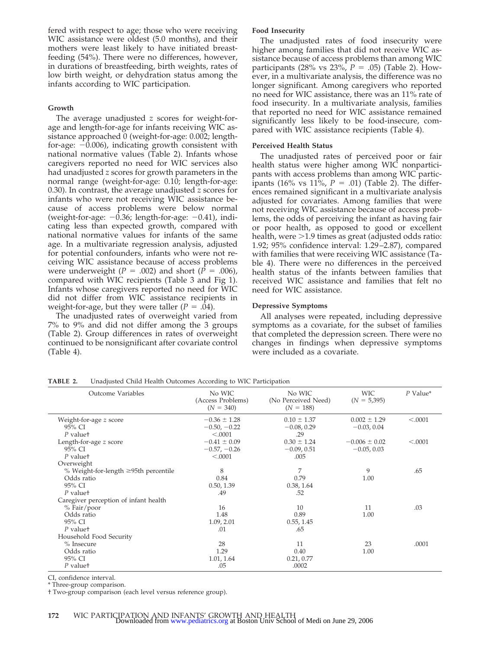fered with respect to age; those who were receiving WIC assistance were oldest (5.0 months), and their mothers were least likely to have initiated breastfeeding (54%). There were no differences, however, in durations of breastfeeding, birth weights, rates of low birth weight, or dehydration status among the infants according to WIC participation.

## **Growth**

The average unadjusted *z* scores for weight-forage and length-for-age for infants receiving WIC assistance approached 0 (weight-for-age: 0.002; lengthfor-age:  $-0.006$ ), indicating growth consistent with national normative values (Table 2). Infants whose caregivers reported no need for WIC services also had unadjusted *z* scores for growth parameters in the normal range (weight-for-age: 0.10; length-for-age: 0.30). In contrast, the average unadjusted *z* scores for infants who were not receiving WIC assistance because of access problems were below normal (weight-for-age:  $-0.36$ ; length-for-age:  $-0.41$ ), indicating less than expected growth, compared with national normative values for infants of the same age. In a multivariate regression analysis, adjusted for potential confounders, infants who were not receiving WIC assistance because of access problems were underweight  $(P = .002)$  and short  $(P = .006)$ , compared with WIC recipients (Table 3 and Fig 1). Infants whose caregivers reported no need for WIC did not differ from WIC assistance recipients in weight-for-age, but they were taller  $(P = .04)$ .

The unadjusted rates of overweight varied from 7% to 9% and did not differ among the 3 groups (Table 2). Group differences in rates of overweight continued to be nonsignificant after covariate control (Table 4).

## **Food Insecurity**

The unadjusted rates of food insecurity were higher among families that did not receive WIC assistance because of access problems than among WIC participants  $(28\% \text{ vs } 23\%, P = .05)$  (Table 2). However, in a multivariate analysis, the difference was no longer significant. Among caregivers who reported no need for WIC assistance, there was an 11% rate of food insecurity. In a multivariate analysis, families that reported no need for WIC assistance remained significantly less likely to be food-insecure, compared with WIC assistance recipients (Table 4).

## **Perceived Health Status**

The unadjusted rates of perceived poor or fair health status were higher among WIC nonparticipants with access problems than among WIC participants (16% vs  $11\%$ ,  $P = .01$ ) (Table 2). The differences remained significant in a multivariate analysis adjusted for covariates. Among families that were not receiving WIC assistance because of access problems, the odds of perceiving the infant as having fair or poor health, as opposed to good or excellent health, were  $>1.9$  times as great (adjusted odds ratio: 1.92; 95% confidence interval: 1.29–2.87), compared with families that were receiving WIC assistance (Table 4). There were no differences in the perceived health status of the infants between families that received WIC assistance and families that felt no need for WIC assistance.

## **Depressive Symptoms**

All analyses were repeated, including depressive symptoms as a covariate, for the subset of families that completed the depression screen. There were no changes in findings when depressive symptoms were included as a covariate.

**TABLE 2.** Unadjusted Child Health Outcomes According to WIC Participation

| Outcome Variables                          | No WIC            | No WIC              | <b>WIC</b>        | $P$ Value* |
|--------------------------------------------|-------------------|---------------------|-------------------|------------|
|                                            | (Access Problems) | (No Perceived Need) | $(N = 5,395)$     |            |
|                                            | $(N = 340)$       | $(N = 188)$         |                   |            |
| Weight-for-age z score                     | $-0.36 \pm 1.28$  | $0.10 \pm 1.37$     | $0.002 \pm 1.29$  | < .0001    |
| 95% CI                                     | $-0.50, -0.22$    | $-0.08, 0.29$       | $-0.03, 0.04$     |            |
| $P$ valuet                                 | < .0001           | .29                 |                   |            |
| Length-for-age z score                     | $-0.41 \pm 0.09$  | $0.30 \pm 1.24$     | $-0.006 \pm 0.02$ | < .0001    |
| 95% CI                                     | $-0.57, -0.26$    | $-0.09, 0.51$       | $-0.05, 0.03$     |            |
| $P$ valuet                                 | < .0001           | .005                |                   |            |
| Overweight                                 |                   |                     |                   |            |
| % Weight-for-length $\geq$ 95th percentile | 8                 | 7                   | 9                 | .65        |
| Odds ratio                                 | 0.84              | 0.79                | 1.00              |            |
| 95% CI                                     | 0.50, 1.39        | 0.38, 1.64          |                   |            |
| P valuet                                   | .49               | .52                 |                   |            |
| Caregiver perception of infant health      |                   |                     |                   |            |
| $%$ Fair/poor                              | 16                | 10                  | 11                | .03        |
| Odds ratio                                 | 1.48              | 0.89                | 1.00              |            |
| 95% CI                                     | 1.09, 2.01        | 0.55, 1.45          |                   |            |
| $P$ valuet                                 | .01               | .65                 |                   |            |
| Household Food Security                    |                   |                     |                   |            |
| % Insecure                                 | 28                | 11                  | 23                | .0001      |
| Odds ratio                                 | 1.29              | 0.40                | 1.00              |            |
| 95% CI                                     | 1.01, 1.64        | 0.21, 0.77          |                   |            |
| $P$ valuet                                 | .05               | .0002               |                   |            |

CI, confidence interval.

\* Three-group comparison.

† Two-group comparison (each level versus reference group).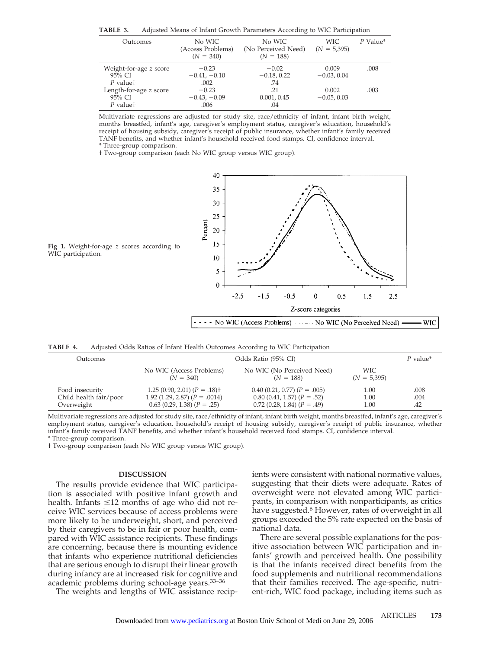| <b>TABLE 3.</b> Adjusted Means of Infant Growth Parameters According to WIC Participation |                 |                         |  |
|-------------------------------------------------------------------------------------------|-----------------|-------------------------|--|
| <b>AT TATTO</b>                                                                           | <b>AT TATTO</b> | $TATT$ $NT$ $T$ $T$ $T$ |  |

| Outcomes                                       | No WIC<br>(Access Problems)<br>$(N = 340)$ | No WIC<br>(No Perceived Need)<br>$(N = 188)$ | WIC.<br>$(N = 5,395)$  | P Value* |
|------------------------------------------------|--------------------------------------------|----------------------------------------------|------------------------|----------|
| Weight-for-age z score<br>95% CI<br>$P$ valuet | $-0.23$<br>$-0.41, -0.10$<br>.002          | $-0.02$<br>$-0.18, 0.22$<br>.74              | 0.009<br>$-0.03, 0.04$ | .008     |
| Length-for-age z score<br>95% CI<br>$P$ valuet | $-0.23$<br>$-0.43, -0.09$<br>.006          | .21<br>0.001, 0.45<br>.04                    | 0.002<br>$-0.05, 0.03$ | .003     |

Multivariate regressions are adjusted for study site, race/ethnicity of infant, infant birth weight, months breastfed, infant's age, caregiver's employment status, caregiver's education, household's receipt of housing subsidy, caregiver's receipt of public insurance, whether infant's family received TANF benefits, and whether infant's household received food stamps. CI, confidence interval. \* Three-group comparison.

† Two-group comparison (each No WIC group versus WIC group).



**Fig 1.** Weight-for-age *z* scores according to WIC participation.

| TABLE 4. |  |  |  |  |  | Adjusted Odds Ratios of Infant Health Outcomes According to WIC Participation |
|----------|--|--|--|--|--|-------------------------------------------------------------------------------|
|----------|--|--|--|--|--|-------------------------------------------------------------------------------|

| Outcomes                                                | Odds Ratio (95% CI)                                                                                                |                                                                                                              |                       | $P$ value*          |
|---------------------------------------------------------|--------------------------------------------------------------------------------------------------------------------|--------------------------------------------------------------------------------------------------------------|-----------------------|---------------------|
|                                                         | No WIC (Access Problems)<br>$(N = 340)$                                                                            | No WIC (No Perceived Need)<br>$(N = 188)$                                                                    | WIC.<br>$(N = 5,395)$ |                     |
| Food insecurity<br>Child health fair/poor<br>Overweight | 1.25 (0.90, 2.01) $(P = .18)$ <sup>+</sup><br>1.92 (1.29, 2.87) ( $P = .0014$ )<br>$(0.63 (0.29, 1.38) (P = .25))$ | $0.40$ (0.21, 0.77) ( $P = .005$ )<br>$0.80$ (0.41, 1.57) ( $P = .52$ )<br>$0.72$ (0.28, 1.84) ( $P = .49$ ) | 1.00<br>1.00<br>1.00  | .008<br>.004<br>.42 |

Multivariate regressions are adjusted for study site, race/ethnicity of infant, infant birth weight, months breastfed, infant's age, caregiver's employment status, caregiver's education, household's receipt of housing subsidy, caregiver's receipt of public insurance, whether infant's family received TANF benefits, and whether infant's household received food stamps. CI, confidence interval. \* Three-group comparison.

† Two-group comparison (each No WIC group versus WIC group).

## **DISCUSSION**

The results provide evidence that WIC participation is associated with positive infant growth and health. Infants  $\leq 12$  months of age who did not receive WIC services because of access problems were more likely to be underweight, short, and perceived by their caregivers to be in fair or poor health, compared with WIC assistance recipients. These findings are concerning, because there is mounting evidence that infants who experience nutritional deficiencies that are serious enough to disrupt their linear growth during infancy are at increased risk for cognitive and academic problems during school-age years.33–36

The weights and lengths of WIC assistance recip-

ients were consistent with national normative values, suggesting that their diets were adequate. Rates of overweight were not elevated among WIC participants, in comparison with nonparticipants, as critics have suggested.<sup>6</sup> However, rates of overweight in all groups exceeded the 5% rate expected on the basis of national data.

There are several possible explanations for the positive association between WIC participation and infants' growth and perceived health. One possibility is that the infants received direct benefits from the food supplements and nutritional recommendations that their families received. The age-specific, nutrient-rich, WIC food package, including items such as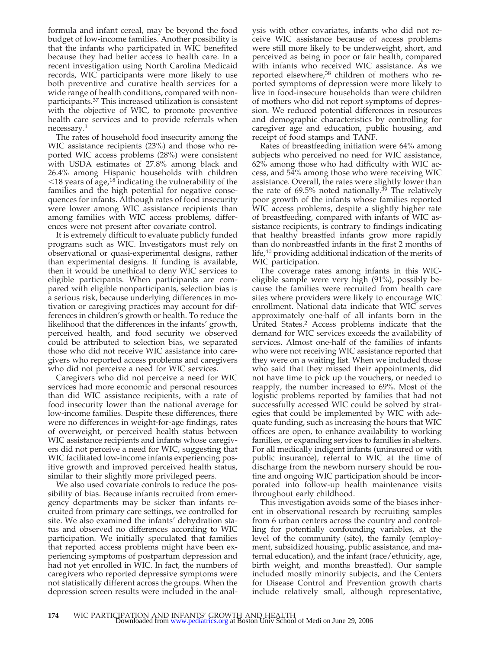formula and infant cereal, may be beyond the food budget of low-income families. Another possibility is that the infants who participated in WIC benefited because they had better access to health care. In a recent investigation using North Carolina Medicaid records, WIC participants were more likely to use both preventive and curative health services for a wide range of health conditions, compared with nonparticipants.37 This increased utilization is consistent with the objective of WIC, to promote preventive health care services and to provide referrals when necessary.1

The rates of household food insecurity among the WIC assistance recipients (23%) and those who reported WIC access problems (28%) were consistent with USDA estimates of 27.8% among black and 26.4% among Hispanic households with children  $18$  years of age,<sup>18</sup> indicating the vulnerability of the families and the high potential for negative consequences for infants. Although rates of food insecurity were lower among WIC assistance recipients than among families with WIC access problems, differences were not present after covariate control.

It is extremely difficult to evaluate publicly funded programs such as WIC. Investigators must rely on observational or quasi-experimental designs, rather than experimental designs. If funding is available, then it would be unethical to deny WIC services to eligible participants. When participants are compared with eligible nonparticipants, selection bias is a serious risk, because underlying differences in motivation or caregiving practices may account for differences in children's growth or health. To reduce the likelihood that the differences in the infants' growth, perceived health, and food security we observed could be attributed to selection bias, we separated those who did not receive WIC assistance into caregivers who reported access problems and caregivers who did not perceive a need for WIC services.

Caregivers who did not perceive a need for WIC services had more economic and personal resources than did WIC assistance recipients, with a rate of food insecurity lower than the national average for low-income families. Despite these differences, there were no differences in weight-for-age findings, rates of overweight, or perceived health status between WIC assistance recipients and infants whose caregivers did not perceive a need for WIC, suggesting that WIC facilitated low-income infants experiencing positive growth and improved perceived health status, similar to their slightly more privileged peers.

We also used covariate controls to reduce the possibility of bias. Because infants recruited from emergency departments may be sicker than infants recruited from primary care settings, we controlled for site. We also examined the infants' dehydration status and observed no differences according to WIC participation. We initially speculated that families that reported access problems might have been experiencing symptoms of postpartum depression and had not yet enrolled in WIC. In fact, the numbers of caregivers who reported depressive symptoms were not statistically different across the groups. When the depression screen results were included in the analysis with other covariates, infants who did not receive WIC assistance because of access problems were still more likely to be underweight, short, and perceived as being in poor or fair health, compared with infants who received WIC assistance. As we reported elsewhere,<sup>38</sup> children of mothers who reported symptoms of depression were more likely to live in food-insecure households than were children of mothers who did not report symptoms of depression. We reduced potential differences in resources and demographic characteristics by controlling for caregiver age and education, public housing, and receipt of food stamps and TANF.

Rates of breastfeeding initiation were 64% among subjects who perceived no need for WIC assistance, 62% among those who had difficulty with WIC access, and 54% among those who were receiving WIC assistance. Overall, the rates were slightly lower than the rate of 69.5% noted nationally.<sup>39</sup> The relatively poor growth of the infants whose families reported WIC access problems, despite a slightly higher rate of breastfeeding, compared with infants of WIC assistance recipients, is contrary to findings indicating that healthy breastfed infants grow more rapidly than do nonbreastfed infants in the first 2 months of life,<sup>40</sup> providing additional indication of the merits of WIC participation.

The coverage rates among infants in this WICeligible sample were very high (91%), possibly because the families were recruited from health care sites where providers were likely to encourage WIC enrollment. National data indicate that WIC serves approximately one-half of all infants born in the United States.<sup>2</sup> Access problems indicate that the demand for WIC services exceeds the availability of services. Almost one-half of the families of infants who were not receiving WIC assistance reported that they were on a waiting list. When we included those who said that they missed their appointments, did not have time to pick up the vouchers, or needed to reapply, the number increased to 69%. Most of the logistic problems reported by families that had not successfully accessed WIC could be solved by strategies that could be implemented by WIC with adequate funding, such as increasing the hours that WIC offices are open, to enhance availability to working families, or expanding services to families in shelters. For all medically indigent infants (uninsured or with public insurance), referral to WIC at the time of discharge from the newborn nursery should be routine and ongoing WIC participation should be incorporated into follow-up health maintenance visits throughout early childhood.

This investigation avoids some of the biases inherent in observational research by recruiting samples from 6 urban centers across the country and controlling for potentially confounding variables, at the level of the community (site), the family (employment, subsidized housing, public assistance, and maternal education), and the infant (race/ethnicity, age, birth weight, and months breastfed). Our sample included mostly minority subjects, and the Centers for Disease Control and Prevention growth charts include relatively small, although representative,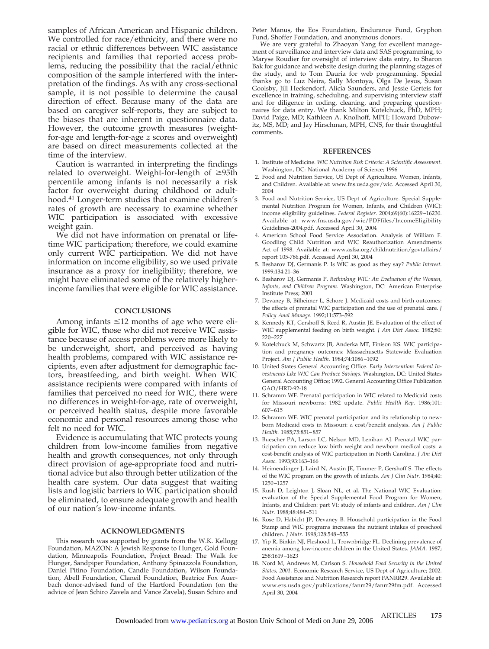samples of African American and Hispanic children. We controlled for race/ethnicity, and there were no racial or ethnic differences between WIC assistance recipients and families that reported access problems, reducing the possibility that the racial/ethnic composition of the sample interfered with the interpretation of the findings. As with any cross-sectional sample, it is not possible to determine the causal direction of effect. Because many of the data are based on caregiver self-reports, they are subject to the biases that are inherent in questionnaire data. However, the outcome growth measures (weightfor-age and length-for-age *z* scores and overweight) are based on direct measurements collected at the time of the interview.

Caution is warranted in interpreting the findings related to overweight. Weight-for-length of  $\geq$ 95th percentile among infants is not necessarily a risk factor for overweight during childhood or adulthood.41 Longer-term studies that examine children's rates of growth are necessary to examine whether WIC participation is associated with excessive weight gain.

We did not have information on prenatal or lifetime WIC participation; therefore, we could examine only current WIC participation. We did not have information on income eligibility, so we used private insurance as a proxy for ineligibility; therefore, we might have eliminated some of the relatively higherincome families that were eligible for WIC assistance.

#### **CONCLUSIONS**

Among infants  $\leq 12$  months of age who were eligible for WIC, those who did not receive WIC assistance because of access problems were more likely to be underweight, short, and perceived as having health problems, compared with WIC assistance recipients, even after adjustment for demographic factors, breastfeeding, and birth weight. When WIC assistance recipients were compared with infants of families that perceived no need for WIC, there were no differences in weight-for-age, rate of overweight, or perceived health status, despite more favorable economic and personal resources among those who felt no need for WIC.

Evidence is accumulating that WIC protects young children from low-income families from negative health and growth consequences, not only through direct provision of age-appropriate food and nutritional advice but also through better utilization of the health care system. Our data suggest that waiting lists and logistic barriers to WIC participation should be eliminated, to ensure adequate growth and health of our nation's low-income infants.

#### **ACKNOWLEDGMENTS**

This research was supported by grants from the W.K. Kellogg Foundation, MAZON: A Jewish Response to Hunger, Gold Foundation, Minneapolis Foundation, Project Bread: The Walk for Hunger, Sandpiper Foundation, Anthony Spinazzola Foundation, Daniel Pitino Foundation, Candle Foundation, Wilson Foundation, Abell Foundation, Claneil Foundation, Beatrice Fox Auerbach donor-advised fund of the Hartford Foundation (on the advice of Jean Schiro Zavela and Vance Zavela), Susan Schiro and

Peter Manus, the Eos Foundation, Endurance Fund, Gryphon Fund, Shoffer Foundation, and anonymous donors.

We are very grateful to Zhaoyan Yang for excellent management of surveillance and interview data and SAS programming, to Maryse Roudier for oversight of interview data entry, to Sharon Bak for guidance and website design during the planning stages of the study, and to Tom Dauria for web programming. Special thanks go to Luz Neira, Sally Montoya, Olga De Jesus, Susan Goolsby, Jill Heckendorf, Alicia Saunders, and Jessie Gerteis for excellence in training, scheduling, and supervising interview staff and for diligence in coding, cleaning, and preparing questionnaires for data entry. We thank Milton Kotelchuck, PhD, MPH; David Paige, MD; Kathleen A. Knolhoff, MPH; Howard Dubowitz, MS, MD; and Jay Hirschman, MPH, CNS, for their thoughtful comments.

#### **REFERENCES**

- 1. Institute of Medicine. *WIC Nutrition Risk Criteria: A Scientific Assessment.* Washington, DC: National Academy of Science; 1996
- 2. Food and Nutrition Service, US Dept of Agriculture. Women, Infants, and Children. Available at: www.fns.usda.gov/wic. Accessed April 30, 2004
- 3. Food and Nutrition Service, US Dept of Agriculture. Special Supplemental Nutrition Program for Women, Infants, and Children (WIC): income eligibility guidelines. *Federal Register.* 2004;69(60):16229–16230. Available at: www.fns.usda.gov/wic/PDFfiles/IncomeEligibility Guidelines-2004.pdf. Accessed April 30, 2004
- 4. American School Food Service Association. Analysis of William F. Goodling Child Nutrition and WIC Reauthorization Amendments Act of 1998. Available at: www.asfsa.org/childnutrition/govtaffairs/ report 105-786.pdf. Accessed April 30, 2004
- 5. Besharov DJ, Germanis P. Is WIC as good as they say? *Public Interest.* 1999;134:21–36
- 6. Besharov DJ, Germanis P. *Rethinking WIC: An Evaluation of the Women, Infants, and Children Program.* Washington, DC: American Enterprise Institute Press; 2001
- 7. Devaney B, Bilheimer L, Schore J. Medicaid costs and birth outcomes: the effects of prenatal WIC participation and the use of prenatal care. *J Policy Anal Manage.* 1992;11:573–592
- 8. Kennedy KT, Gershoff S, Reed R, Austin JE. Evaluation of the effect of WIC supplemental feeding on birth weight. *J Am Diet Assoc.* 1982;80: 220–227
- 9. Kotelchuck M, Schwartz JB, Anderka MT, Finison KS. WIC participation and pregnancy outcomes: Massachusetts Statewide Evaluation Project. *Am J Public Health.* 1984;74:1086–1092
- 10. United States General Accounting Office. *Early Intervention: Federal Investments Like WIC Can Produce Savings.* Washington, DC: United States General Accounting Office; 1992. General Accounting Office Publication GAO/HRD-92-18
- 11. Schramm WF. Prenatal participation in WIC related to Medicaid costs for Missouri newborns: 1982 update. *Public Health Rep.* 1986;101: 607–615
- 12. Schramm WF. WIC prenatal participation and its relationship to newborn Medicaid costs in Missouri: a cost/benefit analysis. *Am J Public Health.* 1985;75:851–857
- 13. Buescher PA, Larson LC, Nelson MD, Lenihan AJ. Prenatal WIC participation can reduce low birth weight and newborn medical costs: a cost-benefit analysis of WIC participation in North Carolina. *J Am Diet Assoc.* 1993;93:163–166
- 14. Heimendinger J, Laird N, Austin JE, Timmer P, Gershoff S. The effects of the WIC program on the growth of infants. *Am J Clin Nutr.* 1984;40: 1250–1257
- 15. Rush D, Leighton J, Sloan NL, et al. The National WIC Evaluation: evaluation of the Special Supplemental Food Program for Women, Infants, and Children: part VI: study of infants and children. *Am J Clin Nutr.* 1988;48:484–511
- 16. Rose D, Habicht JP, Devaney B. Household participation in the Food Stamp and WIC programs increases the nutrient intakes of preschool children. *J Nutr.* 1998;128:548–555
- 17. Yip R, Binkin NJ, Fleshood L, Trownbridge FL. Declining prevalence of anemia among low-income children in the United States. *JAMA.* 1987; 258:1619–1623
- 18. Nord M, Andrews M, Carlson S. *Household Food Security in the United States, 2001.* Economic Research Service, US Dept of Agriculture; 2002. Food Assistance and Nutrition Research report FANRR29. Available at: www.ers.usda.gov/publications/fanrr29/fanrr29fm.pdf. Accessed April 30, 2004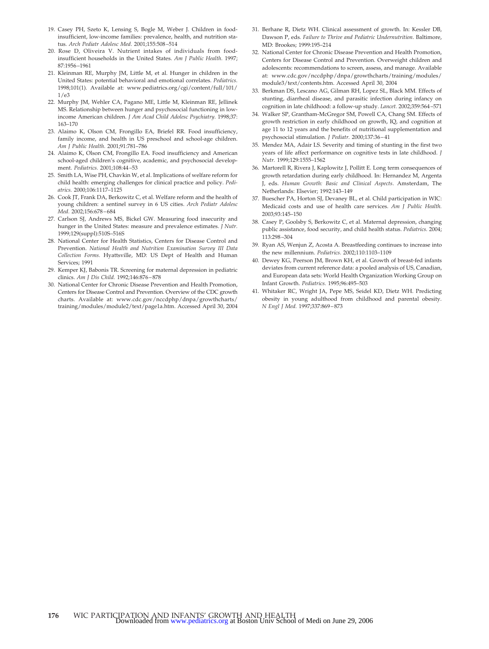- 19. Casey PH, Szeto K, Lensing S, Bogle M, Weber J. Children in foodinsufficient, low-income families: prevalence, health, and nutrition status. *Arch Pediatr Adolesc Med.* 2001;155:508–514
- 20. Rose D, Oliveira V. Nutrient intakes of individuals from foodinsufficient households in the United States. *Am J Public Health.* 1997; 87:1956–1961
- 21. Kleinman RE, Murphy JM, Little M, et al. Hunger in children in the United States: potential behavioral and emotional correlates. *Pediatrics.* 1998;101(1). Available at: www.pediatrics.org/cgi/content/full/101/ 1/e3
- 22. Murphy JM, Wehler CA, Pagano ME, Little M, Kleinman RE, Jellinek MS. Relationship between hunger and psychosocial functioning in lowincome American children. *J Am Acad Child Adolesc Psychiatry.* 1998;37: 163–170
- 23. Alaimo K, Olson CM, Frongillo EA, Briefel RR. Food insufficiency, family income, and health in US preschool and school-age children. *Am J Public Health.* 2001;91:781–786
- 24. Alaimo K, Olson CM, Frongillo EA. Food insufficiency and American school-aged children's cognitive, academic, and psychosocial development. *Pediatrics.* 2001;108:44–53
- 25. Smith LA, Wise PH, Chavkin W, et al. Implications of welfare reform for child health: emerging challenges for clinical practice and policy. *Pediatrics.* 2000;106:1117–1125
- 26. Cook JT, Frank DA, Berkowitz C, et al. Welfare reform and the health of young children: a sentinel survey in 6 US cities. *Arch Pediatr Adolesc Med.* 2002;156:678–684
- 27. Carlson SJ, Andrews MS, Bickel GW. Measuring food insecurity and hunger in the United States: measure and prevalence estimates. *J Nutr.* 1999;129(suppl):510S–516S
- 28. National Center for Health Statistics, Centers for Disease Control and Prevention. *National Health and Nutrition Examination Survey III Data Collection Forms.* Hyattsville, MD: US Dept of Health and Human Services; 1991
- 29. Kemper KJ, Babonis TR. Screening for maternal depression in pediatric clinics. *Am J Dis Child.* 1992;146:876–878
- 30. National Center for Chronic Disease Prevention and Health Promotion, Centers for Disease Control and Prevention. Overview of the CDC growth charts. Available at: www.cdc.gov/nccdphp/dnpa/growthcharts/ training/modules/module2/text/page1a.htm. Accessed April 30, 2004
- 31. Berhane R, Dietz WH. Clinical assessment of growth. In: Kessler DB, Dawson P, eds*. Failure to Thrive and Pediatric Undernutrition*. Baltimore, MD: Brookes; 1999:195–214
- 32. National Center for Chronic Disease Prevention and Health Promotion, Centers for Disease Control and Prevention. Overweight children and adolescents: recommendations to screen, assess, and manage. Available at: www.cdc.gov/nccdphp/dnpa/growthcharts/training/modules/ module3/text/contents.htm. Accessed April 30, 2004
- 33. Berkman DS, Lescano AG, Gilman RH, Lopez SL, Black MM. Effects of stunting, diarrheal disease, and parasitic infection during infancy on cognition in late childhood: a follow-up study. *Lancet.* 2002;359:564–571
- 34. Walker SP, Grantham-McGregor SM, Powell CA, Chang SM. Effects of growth restriction in early childhood on growth, IQ, and cognition at age 11 to 12 years and the benefits of nutritional supplementation and psychosocial stimulation. *J Pediatr.* 2000;137:36–41
- 35. Mendez MA, Adair LS. Severity and timing of stunting in the first two years of life affect performance on cognitive tests in late childhood. *J Nutr.* 1999;129:1555–1562
- 36. Martorell R, Rivera J, Kaplowitz J, Pollitt E. Long term consequences of growth retardation during early childhood. In: Hernandez M, Argenta J, eds. *Human Growth: Basic and Clinical Aspects*. Amsterdam, The Netherlands: Elsevier; 1992:143–149
- 37. Buescher PA, Horton SJ, Devaney BL, et al. Child participation in WIC: Medicaid costs and use of health care services. *Am J Public Health.* 2003;93:145–150
- 38. Casey P, Goolsby S, Berkowitz C, et al. Maternal depression, changing public assistance, food security, and child health status. *Pediatrics.* 2004; 113:298–304
- 39. Ryan AS, Wenjun Z, Acosta A. Breastfeeding continues to increase into the new millennium. *Pediatrics.* 2002;110:1103–1109
- 40. Dewey KG, Peerson JM, Brown KH, et al. Growth of breast-fed infants deviates from current reference data: a pooled analysis of US, Canadian, and European data sets: World Health Organization Working Group on Infant Growth. *Pediatrics.* 1995;96:495–503
- 41. Whitaker RC, Wright JA, Pepe MS, Seidel KD, Dietz WH. Predicting obesity in young adulthood from childhood and parental obesity. *N Engl J Med.* 1997;337:869–873